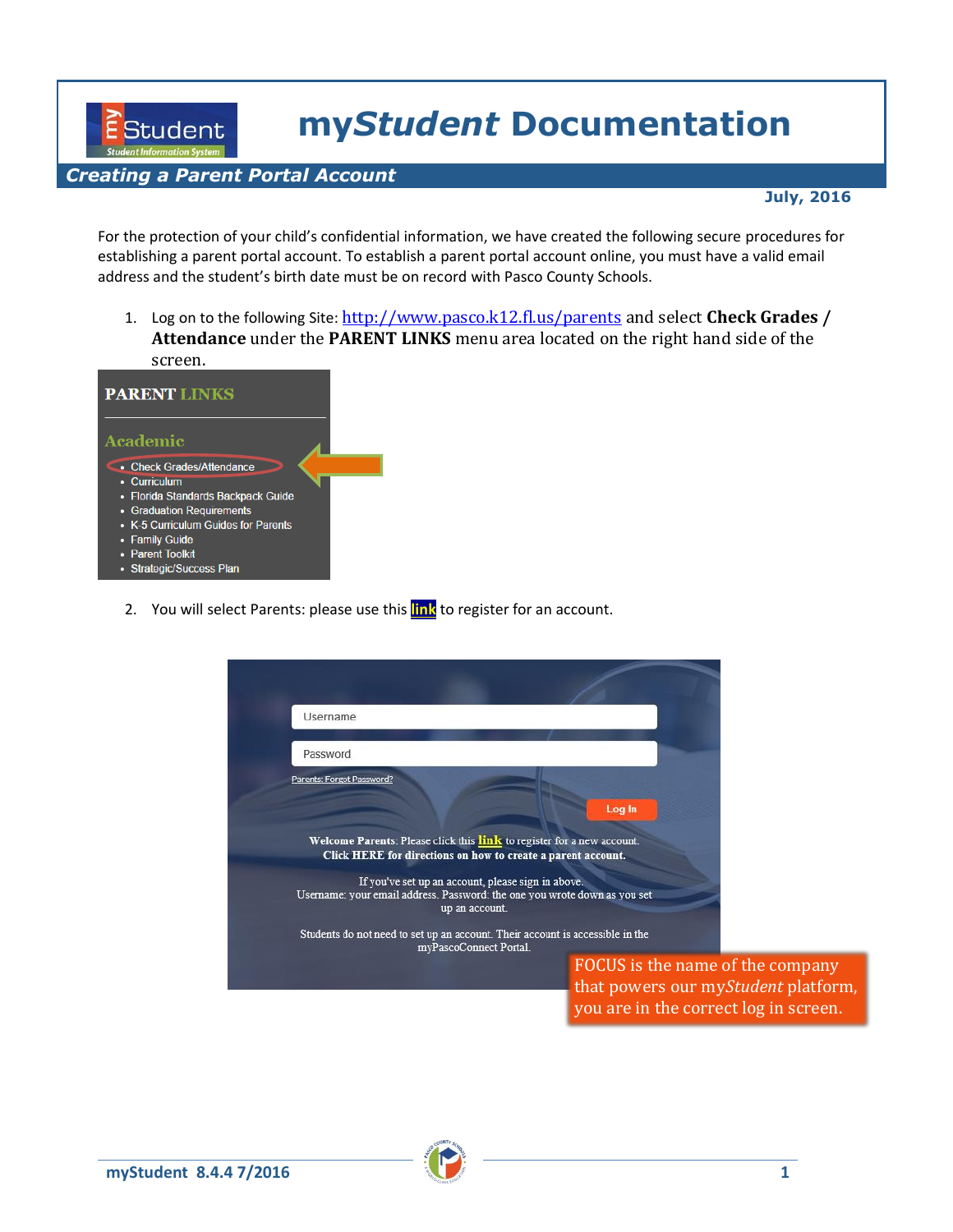**my***Student* **Documentation**

## *Creating a Parent Portal Account*

EStudent

## **July, 2016**

For the protection of your child's confidential information, we have created the following secure procedures for establishing a parent portal account. To establish a parent portal account online, you must have a valid email address and the student's birth date must be on record with Pasco County Schools.

1. Log on to the following Site: http://www.pasco.k12.fl.us/parents and select Check Grades / **Attendance** under the **PARENT LINKS** menu area located on the right hand side of the screen.



2. You will select Parents: please use this **link** to register for an account.

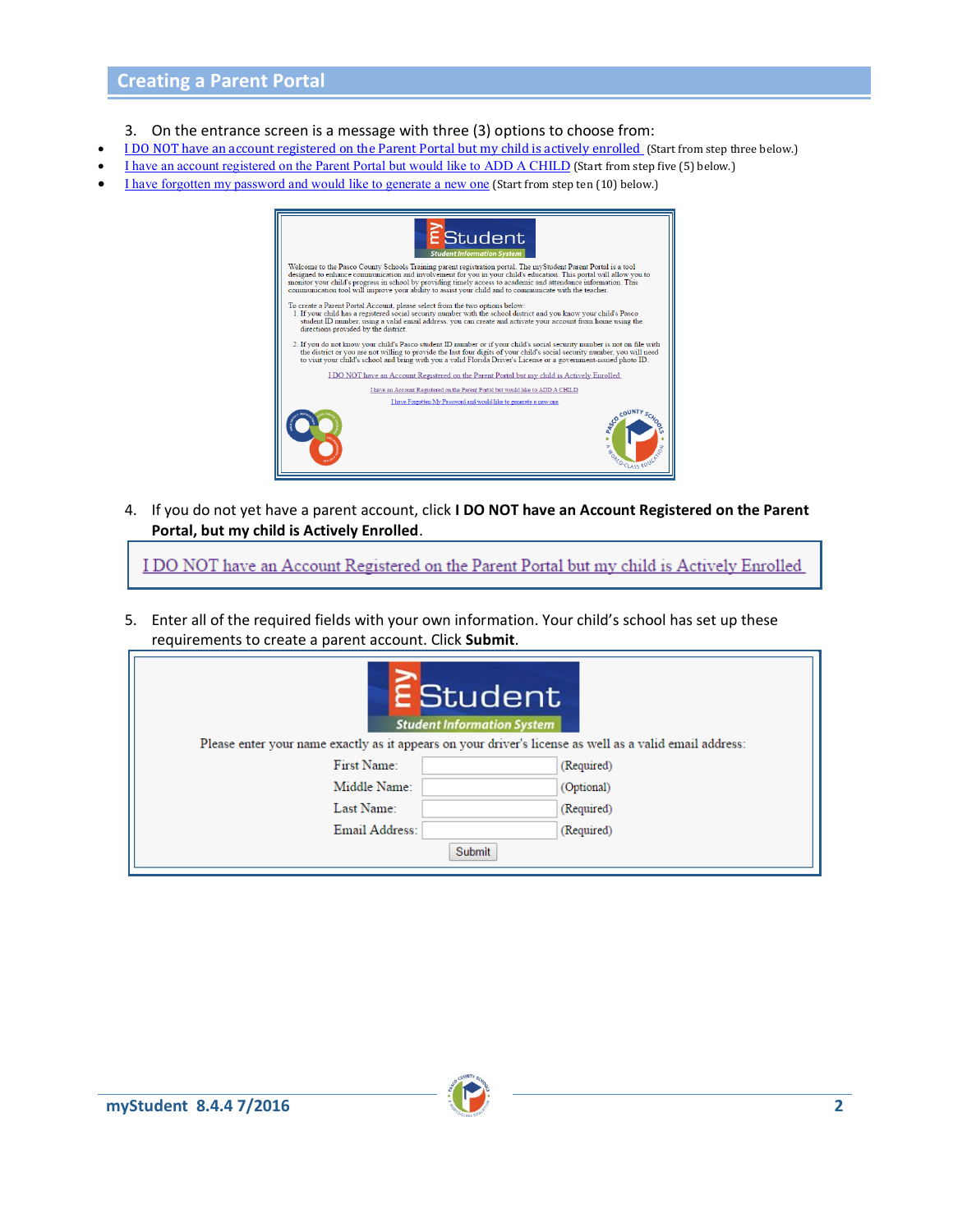- 3. On the entrance screen is a message with three (3) options to choose from:
- I DO NOT have an account registered on the Parent Portal but my child is actively enrolled (Start from step three below.)
- I have an account registered on the Parent Portal but would like to ADD A CHILD (Start from step five (5) below.)
- I have forgotten my password and would like to generate a new one (Start from step ten (10) below.)



4. If you do not yet have a parent account, click **I DO NOT have an Account Registered on the Parent Portal, but my child is Actively Enrolled**.

I DO NOT have an Account Registered on the Parent Portal but my child is Actively Enrolled

5. Enter all of the required fields with your own information. Your child's school has set up these requirements to create a parent account. Click **Submit**.

|                                                                                                         | <b>E</b> Student<br><b>Student Information System</b> |            |
|---------------------------------------------------------------------------------------------------------|-------------------------------------------------------|------------|
| Please enter your name exactly as it appears on your driver's license as well as a valid email address: |                                                       |            |
| First Name:                                                                                             |                                                       | (Required) |
| Middle Name:                                                                                            |                                                       | (Optional) |
| Last Name:                                                                                              |                                                       | (Required) |
| Email Address:                                                                                          |                                                       | (Required) |
|                                                                                                         | <b>Submit</b>                                         |            |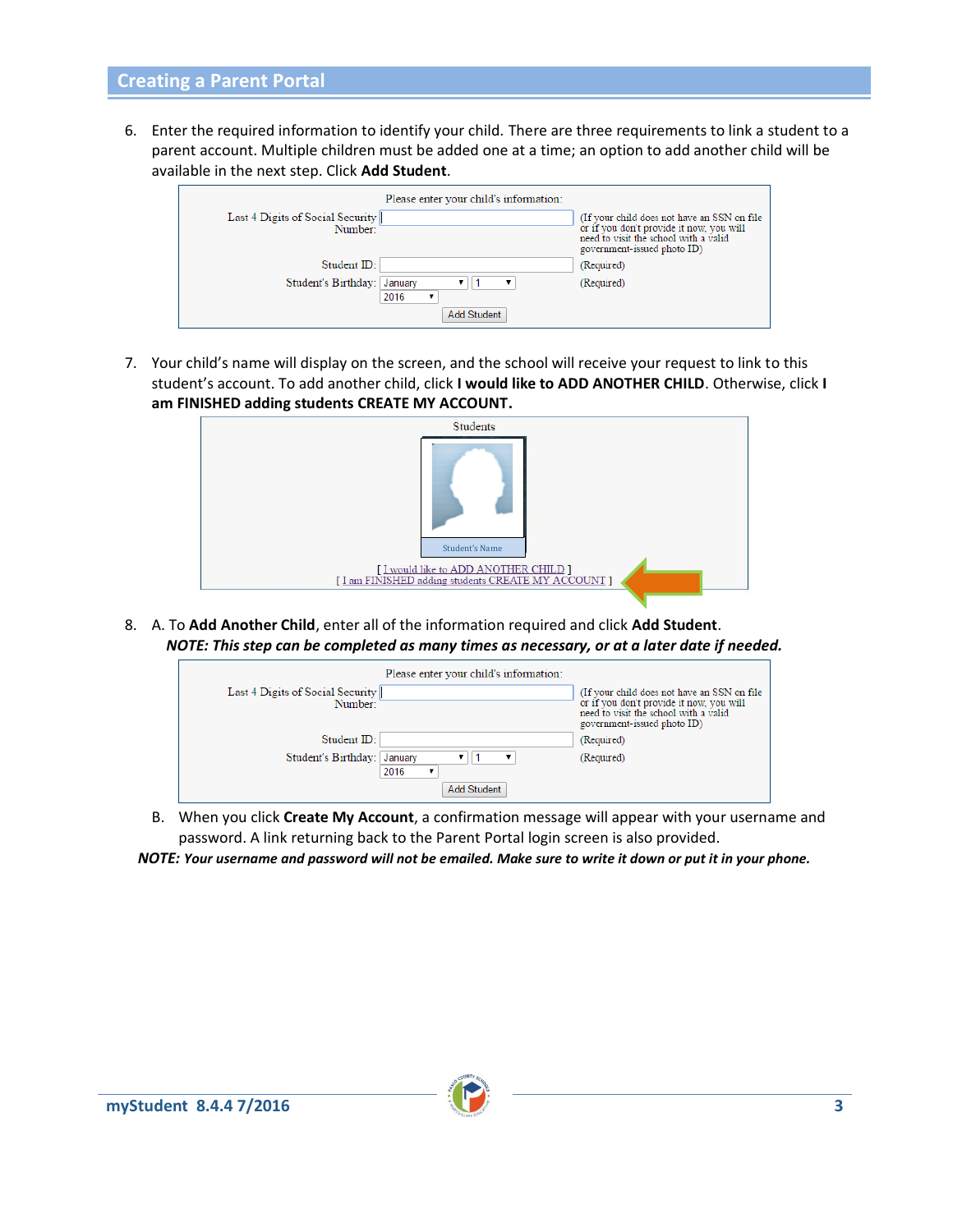## **Creating a Parent Portal**

6. Enter the required information to identify your child. There are three requirements to link a student to a parent account. Multiple children must be added one at a time; an option to add another child will be available in the next step. Click **Add Student**.

| Last 4 Digits of Social Security | Please enter your child's information: | (If your child does not have an SSN on file)                                                                     |
|----------------------------------|----------------------------------------|------------------------------------------------------------------------------------------------------------------|
| Number:                          |                                        | or if you don't provide it now, you will<br>need to visit the school with a valid<br>government-issued photo ID) |
| Student ID:                      |                                        | (Required)                                                                                                       |
| Student's Birthday:              | January<br>2016                        | (Required)                                                                                                       |
|                                  | <b>Add Student</b>                     |                                                                                                                  |

7. Your child's name will display on the screen, and the school will receive your request to link to this student's account. To add another child, click **I would like to ADD ANOTHER CHILD**. Otherwise, click **I am FINISHED adding students CREATE MY ACCOUNT.**



8. A. To **Add Another Child**, enter all of the information required and click **Add Student**. *NOTE: This step can be completed as many times as necessary, or at a later date if needed.*



- B. When you click **Create My Account**, a confirmation message will appear with your username and password. A link returning back to the Parent Portal login screen is also provided.
- *NOTE: Your username and password will not be emailed. Make sure to write it down or put it in your phone.*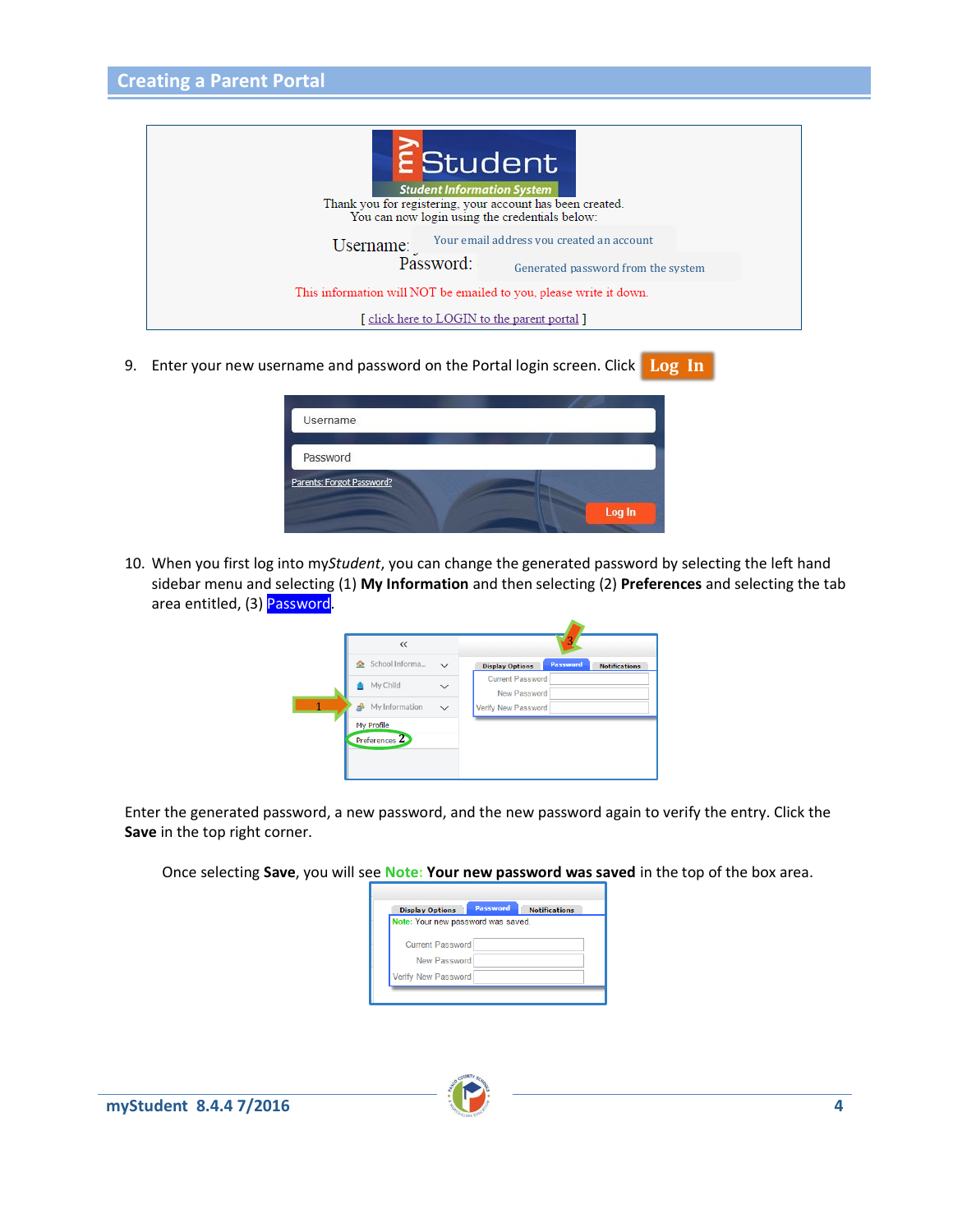

9. Enter your new username and password on the Portal login screen. Click Log In

| Username                  |        |
|---------------------------|--------|
| Password                  |        |
| Parents: Forgot Password? |        |
|                           | Log In |

10. When you first log into my*Student*, you can change the generated password by selecting the left hand sidebar menu and selecting (1) **My Information** and then selecting (2) **Preferences** and selecting the tab area entitled, (3) Password.

| $\ll$                          |                                                            |  |
|--------------------------------|------------------------------------------------------------|--|
| School Informa<br>$\checkmark$ | Password<br><b>Display Options</b><br><b>Notifications</b> |  |
| My Child<br>$\checkmark$       | <b>Current Password</b><br><b>New Password</b>             |  |
| My Information<br>$\checkmark$ | Verify New Password                                        |  |
| My Profile<br>Preferences 2    |                                                            |  |

Enter the generated password, a new password, and the new password again to verify the entry. Click the **Save** in the top right corner.

Once selecting **Save**, you will see **Note: Your new password was saved** in the top of the box area.

| Note: Your new password was saved. |  |  |
|------------------------------------|--|--|
| <b>Current Password</b>            |  |  |
| New Password                       |  |  |
| <b>Verify New Password</b>         |  |  |

г